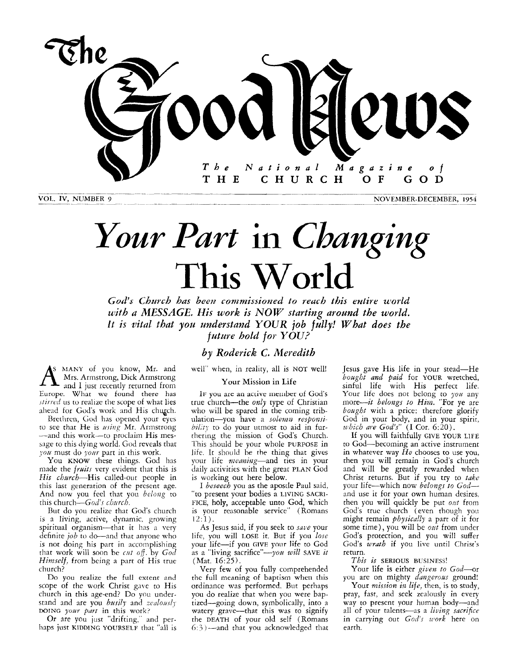

**VOL. IV, NUMBER 9** NOVEMBER-DECEMBER, 1954

# *Your Part* in *Changing*  This World

God's Church has been commissioned to reach this entire world *with u MESSAGE. His work is NOW starting around the world.*  It is vital that you understand YOUR job fully! What does the *future hold for YOU?* 

## *by Roderick C. Meredith*

**S** MANY of you know, Mr. and Mrs. Armstrong, Dick Armstrong and I just recently returned from Europe. What we found there has *.iIirrcd* us to realize the scope of what lies ahead for Cod's work and His chugch.

Brethren, God has opened your eyes to see that He is using Mr. Armstrong -and this work-to proclaim His message to this dying world. God reveals that *l'ou* must do *your* part in this work.

You KNOW these things. God has made the *fruits* very evident that this is His church-His called-out people in this last generation of the present age. And now you feel that you *belong* to this church-God's church.

But do you realize that God's church is a living, active, dynamic, growing spiritual organism-that it has a very definite *job* to do—and that anyone who is not doing his part in accomplishing rhat work will soon be *rift off.* by *God*  Himself, from being a part of His true church?

Do you realize the full extent and scope of the work Christ gave to His church in this age-end? Do you understand and are you *busily* and *zealously* DOING your part in this work?

Or are you just "drifting." and perhaps just **KIDDING YOURSELF** that "all is well" when, in reality, all is NOT well!

#### Your Mission in Life

IF you are an active member of God's true church-the *only* type of Christian who will be spared in the coming tribulation-you have a solemn responsibility to do your utmost to aid in furthering the mission of God's Church. This should be your whole PURPOSE in life. **It** should be the thing that gives your life meaning-and ties in your daily activities with the great **PLAN** God is working out here below.

I *beseech* you as the apostle Paul said, *"to* present your bodies a LIVING **SACRI-FICE,** holy, acceptable unto God, which is your reasonable service" (Romans l2:l).

**As** Jesus said, if you seek to *save* your life, you will LOSE it. But if you lose your life-if you GIVE your life to God as a "living sacrifice"-you will SAVE it (Mat. 16:25).

Very few of you fully comprehended the full meaning of baptism when this ordinance was performed. But perhaps you do realize that when you were baptized-going down, symbolically, into a watery grave-that this was to signify the **DEATH** of your old self (Romans *6:* 3 )--and that you acknowledged that

Jesus gave His life in your stead-He bought *and paid* for **YOUR** wretched, sinful life with His perfect life. Your life does not belong to  $\gamma \circ u$  any more-it belongs *to Him* "For ye are bought with a price: therefore glorify God in your body, and in your spirit, *which are God's"* (I Cor. 6:20).

If you will faithfully GIVE YOUR **LIFE**  to God-becoming an active instrument in whatever way *He* chooses to use you, then you will remain in God's church and will be greatly rewarded when Christ returns. Bur if you try to *take*  your life-which now belongs *to God*and use it for your own human desires, then you will quickly be put out from God's true church (even though you might remain *physica!ly* a part of it for some time), you will be *out* from under God's protection, and you will suffer God's *wrath* if you live until Christ's return.

#### This *is* **SERIOUS BUSINESS!**

Your life is either given to God-or you are on mighty *dangerous* ground!

Your *mission in life*, then, is to study, pray, fast, and seek zealously in every way to present your human body-and all of your talents-as a living sacrifice in carrying out *God's work* here on earth.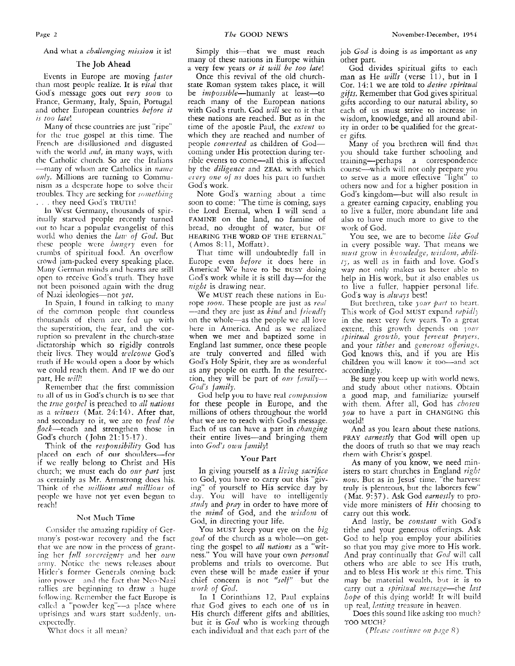And what a *challenging mission* it is!

#### The Job Ahead

Events in Europe are moving *faster*  than most people realize. It is *vital* that God's message goes out *very soon* to France, Germany, Italy, Spain, Portugal and other European countries *before it*  is *too* late!

Many of these countries are just "ripe" for the true gospel at this time. The French are disillusioned and disgusted with the world *and*, in many ways, with the Catholic church. So are the Italians  $-$ many of whom are Catholics in *name* only. Millions are turning to Communism as **a** desperate hope to solve thcir troubles. They are seeking for *something* . . they need God's TRUTH!

**In** West Germany, thousands of spirittinlly starved people recently turned out to hear a popular evangelist of this world who denies the *law of God.* But these people were *bmigry* even for Crumbs of spiritiial food. An overflow crowd jam-pscked every speaking place. Many German minds and hearts are still open to receive God's truth. They have not been poisoned again with the drug of Nazi ideologies-not *yet.* 

In Spain, I found in talking to many of the common people that countless thousands of them nre fed **up** with thc superstition, the fear, and the corruption so prevalent in the church-state dictatorship which so rigidly controls their lives. They would *welcome* God's truth if He would open a door by which we could reach them. And IF we do our part, He *will!* 

Remember that the first commission  $\overline{1}$  to all of us in God's church is to see that the *true* gospel is preached to *all nations* as a *witness* (Mat. 24:14). After that, nnd secondary to it, we are to *feed the*   $flock$ -teach and strengthen those in God's church (John 21: 15-17).

Think of the *responsibility* God has placed on each of our shoulders-for if we really belong to Christ and His church; we must each do our part just as certainly as Mr. Arrnstrong does his. Think of the *millions and millions* of people we have not yet even begun to reach!

#### Not Much Time

Consider the amazing rapidity of Germany's post-war recovery and the fact that we are now in the process of granting her *full sovereignty* and her *own* army. Notice the news releases about Hitler's former Generals coming back into power and the fact that Neo-Nazi rallies are beginning to draw a huge following. Remember the fact Europe is called a "powder keg"—a place where uprisings and wars start suddenly, uncspectedly.

What does it all mean?

Simply this-that we must reach many of these nations in Europe within a very few years or *it will be too late!* 

Once this revival of the old churchstate Roman system takes place, it will be *impossible*—humanly at least—reach many of the European nations with God's truth. God *will* see to it that these nations are reached. But as in the time of the apostle Paul, the *extent* to which they are reached and number of people *conz'erted* **as** children of Codcoming under His protection during terrible events to come-all this is affccted by the *diligence* and **ZEAL** with which *crery one of us* does his part to further God's work.

Note God's warning about **a** time soon to come: "The time is coming, says the Lord Eternal, when I will send a **FAMINE** on the land, no famine of bread, no drought of water, but **OF HEARING** THE **WORD OF** THE **ETERNAL"**  (Amos S: 11, Moffatt).

That time will undoubtedly fall in Europe even *before* it does here in America! We have to be **BUSY** doing God's work while it is still day-for the *uight* is drawing near.

We MUST reach these nations in Europe soon. These people are just as real -and they are just as *kind* and *friendly* on the whole-as the people we all love here in America. And as we realized when we met and baptized some in England last summer, once these people are truly converted and filled with God's Holy Spirit, they are **as** wonderful as any people on earth. In the resurrection, they will be part of *our* family-*God's family.* 

God help you to have real *compassion* for these people in Europe, and the millions of others throughout the world that we are to reach with God's message. Each of us can have a part in *changing* their entire lives-and bringing them into God's own family!

#### **Your** Part

In giving yourself as a *lii'ing* sacrifice to God, you have to carry out this "giving" of yourself to His scrvicc day by day. You will have to intelligently *study* and *pray* in order to have more of the *mind* of God, and the *wisdom* of God, in directing your life.

You MUST keep your eye on the *big ~od* of the church as a whole--on getting the gospel to *all nations* as a "witness." You will have your own *personal* problems and trials to overcome. Rut even these will be made easier if your chief concern is not "self" but the *~~rk of God.* 

In I Corinthians 12, Paul explains that God gives *to* each one of us in His church different gifts and abilities, but it is *God* who is working through each individual and that each part of the

iob *God* is doing is as important as any other part.

God divides spiritual gifts to each man as He *wills* (verse 11), but in I Cor. 14: 1 we are told to *desire spiritual gifts.* Remember that God gives spiritual gifts according to our natural ability, so each of us must strive to increase in wisdom, knowledge, and all around ability in order to be qualified for the greater gifts.

Many of you brethren will find that you should take further schooling and training-perhaps a correspondence course-which will not only prepare you **LO** serve as a inore ellective "light" to others now and for a higher position in God's kingdom-but will also result in a greater earning capacity, enabling you to live a fuller, more abundant life and also to have much more to give to the work of God.

You see, we are to become *lihhc God*  in every possible way. That means we must grow in *knowledge*, wisdom, abili-1y, as well as in faith and love. God's way not only makes us better able to help in His work, but it also enables us to live a fuller, happier personal life. God's way is *nlways* best!

But brethren, take *your part* to heart. This work of God MUST expand *rapidly* in the next very few years. To a great extent, this growth depends on *your spiritual growth*, your *fervent prayers*. and your *tithes* and *generous offerings*. God knows this, and if you are His children you will know it too-and act accordingly.

Be sure you keep up with world news, and study about other nations. Obtain a good map, and familiarize yourself with them. After all, God has *chosen you* to have a part in **CHANGING** this world!

And as you learn about these nations, PRAY *earnestly* that God will open up the doors of truth so that we may reach them with Christ's gospel.

As many of you know, we need ministers to start churches in England *right now.* But as in Jesus' time, "the harvesttruly is plenteous, but the laborcrs fcw" (Mat. *9:* 37). Ask God *earnestly* to provide more ministers of *His* choosing to carry out this work.

And lastly, be *constant* with God's tithe and your generous offerings. Ask God to help you employ your abilities so that you may give more to His work. And pray continually that *God* will call others who are able to see His truth, and to bless His **work** at this time. This may be material wealth, but it is to carry out a *spiritual message*—the *last hope* of this dying world! It wi!l build lip real, *In~tiiz,~* treasiire in heaven.

Does this sound like asking too much? *700* MUCH?

*(Pleizsr soiitiiziie oil pge 8* j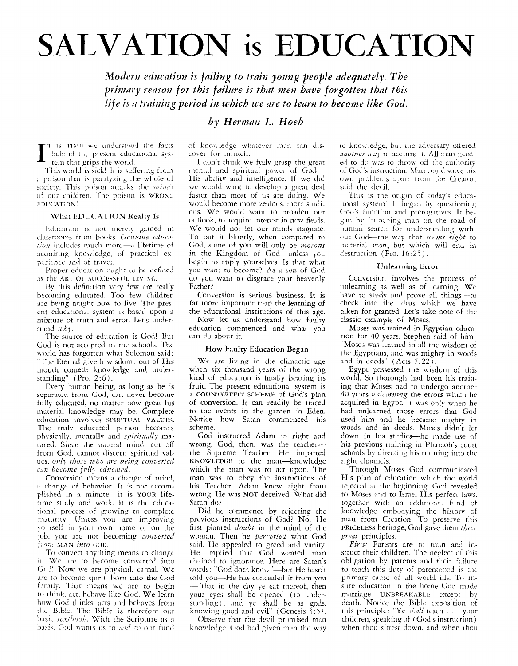# **SALVATION is EDUCATION**

Modern education is failing to train young people adequately. The primary reason for this failure is that men have forgotten that this life is a training period in which we are to learn to become like God.

## by Herman L. Hoeb

T IS TIME we understood the facts behind the present educational system that grips the world.

This world is sick! It is suffering from a poison that is paralyzing the whole of society. This poison attacks the minds of our children. The poison is WRONG **EDUCATION!** 

#### What EDUCATION Really Is

Education is not merely gained in classrooms from books. Genuine education includes much more-a lifetime of acquiring knowledge, of practical experience and of travel.

Proper education ought to be defined as the ART OF SUCCESSFUL LIVING.

By this definition very few are really becoming educated. Too few children are being raught how to live. The present educational system is based upon a mixture of truth and error. Let's understand  $wby$ .

The source of education is God! But God is not accepted in the schools. The world has forgotten what Solomon said: "The Eternal giveth wisdom: out of His mouth cometh knowledge and understanding" (Pro. 2:6).

Every human being, as long as he is separated from God, can never become fully educated, no matter how great his material knowledge may be. Complete education involves SPIRITUAL VALUES. The truly educated person becomes physically, mentally and spiritually matured. Since the natural mind, cut off from God, cannot discern spiritual values, only those who are being converted can become fully educated.

Conversion means a change of mind, a change of behavior. It is not accomplished in a minute—it is YOUR lifetime study and work. It is the educational process of growing to complete maturity. Unless you are improving<br>yourself in your own home or on the job, you are not becoming converted from MAN into GOD.

To convert anything means to change it. We are to become converted into God! Now we are physical, carnal. We are to become spirit, born into the God family. That means we are to begin to think, act, behave like God. We learn how God thinks, acts and behaves from the Bible. The Bible is therefore our basic textbook. With the Scripture as a basis. God wants us to *add* to our fund

of knowledge whatever man can discover for himself.

I don't think we fully grasp the great mental and spiritual power of God-His ability and intelligence. If we did we would want to develop a great deal faster than most of us are doing. We would become more zealous, more studious. We would want to broaden our outlook, to acquire interest in new fields. We would not let our minds stagnate. To put it bluntly, when compared to God, some of you will only be morons in the Kingdom of God-unless you begin to apply yourselves. Is that what you want to become? As a son of God do you want to disgrace your heavenly Father?

Conversion is serious business. It is far more important than the learning of the educational institutions of this age.

Now let us understand how faulty education commenced and what you can do about it.

#### How Faulty Education Began

We are living in the climactic age when six thousand years of the wrong kind of education is finally bearing its fruit. The present educational system is a COUNTERFEIT SCHEME of God's plan of conversion. It can readily be traced to the events in the garden in Eden. Notice how Satan commenced his scheme.

God instructed Adam in right and wrong. God, then, was the teacherthe Supreme Teacher. He imparted KNOWLEDGE to the man-knowledge which the man was to act upon. The man was to obey the instructions of his Teacher. Adam knew right from wrong. He was NOT deceived. What did Satan do?

Did he commence by rejecting the previous instructions of God? No! He first planted *doubt* in the mind of the woman. Then he perverted what God said. He appealed to greed and vanity. He implied that God wanted man chained to ignorance. Here are Satan's words: "God doth know"-but He hasn't told you-He has concealed it from you - "that in the day ye eat thereof, then your eyes shall be opened (to understanding), and ye shall be as gods, knowing good and evil" (Genesis  $3:5$ ).

Observe that the devil promised man knowledge. God had given man the way

to knowledge, but the adversary offered another way to acquire it. All man needed to do was to throw off the authority of God's instruction. Man could solve his own problems apart from the Creator, said the devil.

This is the origin of today's educational system! It began by questioning God's function and prerogatives. It began by launching man on the road of human search for understanding without God-the way that seems right to material man, but which will end in destruction (Pro. 16:25).

#### **Unlearning Error**

Conversion involves the process of unlearning as well as of learning. We have to study and prove all things—to check into the ideas which we have taken for granted. Let's take note of the classic example of Moses.

Moses was trained in Egyptian education for 40 years. Stephen said of him: "Moses was learned in all the wisdom of the Egyptians, and was mighty in words and in deeds" (Acts 7:22).

Egypt possessed the wisdom of this world. So thorough had been his training that Moses had to undergo another 40 years unlearning the errors which he acquired in Egypt. It was only when he had unlearned those errors that God used him and he became mighty in words and in deeds. Moses didn't let down in his studies-he made use of his previous training in Pharaoh's court schools by directing his training into the right channels.

Through Moses God communicated His plan of education which the world rejected at the beginning. God revealed to Moses and to Israel His perfect laws, together with an additional fund of knowledge embodying the history of<br>man from Creation. To preserve this PRICELESS heritage, God gave them three great principles.

First: Parents are to train and instruct their children. The neglect of this obligation by parents and their failure to teach this duty of parenthood is the primary cause of all world ills. To insure education in the home God made marriage UNBREAKABLE except by death. Notice the Bible exposition of this principle: "Ye shall teach . . . your children, speaking of (God's instruction) when thou sittest down, and when thou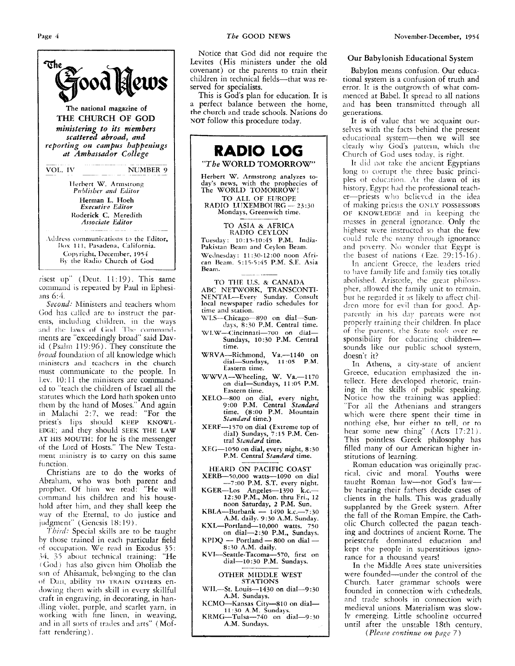

risest up" (Deut. 11:19). This same command is repeated by Paul in Ephesi-**.ins** *6:4* 

Second: Ministers and teachers whom God has called are to instruct the parents, including children. in the ways and the laws of God. The commandments are "exceedingly broad" said David (Psalm 119:96). They constitute the *broad* foundation of all knowledge which ministers and teachers in the church must communicate to the people. In Lev.  $10:11$  the ministers are commanded to "teach the children **of** Israel all the statutes which the Lord hath spoken unto them by the hand of Moses." And again in Malachi 2:7, we read: "For the priest's lips should **KEEP KNOWL-EIX;E;** and they should **SEEK THE LAW**  AT HIS MOUTH: for he is the messenger of the Lord of Hosts." The New Testament ministry is to carry on this same function.

Christians are to do the works of Abrahmi, who **was** both parent and prophet. Of him we read: "He will commnnd his children and his household after him, and they shall keep the way of the Eternal, to do justice and judgment" (Genesis 18:19).

*7'6ji.d:* Special skills are to be taught by those trained in each particular field of occupation. We rend in Exodus 35: 34, 35 about technical training: "He (God) has also given him Oholiab the son of Ahisamak, belonging to the clan *oi* **lhi,** ability TO IRAIN **OTHERS** endowing them with skill in every skillful craft in engraving, in decorating, in han dling violet, purple, and scarlet yarn, in working with fine linen, in weaving, **.ind** in all sorts of trndes and arts" (Moffatt rendering).

Notice that God did not require the Levites (His ministers under the old covenant) or the parents to train their children in technical fields-that was reserved for specialists.

This is God's plan for education. It is a perfect balance between the home, the church and trade schools. Nations do **NOT** follow this procedure today.



**A.M. Sundays.** 

KCMO-Kansas City--810 on dial-**KKiMG-Tulsa-740** on **dial-9** : <sup>30</sup> **11.30 A M. Sundals. A.M. Sundays.** 

#### **Our Babylonish Educational System**

Babylon means confusion. Our educa-<br>tional system is a confusion of truth and error. It is the outgrowth of what commenced at Babel. It spread to all nations and has been transmitted through all generations.

It is of value that we acquaint ourselves with the facts behind the present educational system—then we will see cleaily wiry God's paticin, wliicli **ilie**  Church of God uses today, is right.

It did not take the ancient Egyptians long to corrupt the three basic principles of education. At the dawn of its history, Egypt had the professional teacher-priests who believed in the idea of making priests the ONLY **POSSESSORS**  OF KNOWLEDGE and in keeping the masses in general ignorance. Only the highest were instructed so that the few could rule the many through ignorance and poverty. No wonder that Egypt is the basest of nations  $($ Eze.  $29:15-16)$ .

In ancient Greece, the leaders tried to have family life and family ties totally abolished. Aristotle, the great philosopher, allowed the family unit to remain. but he regarded it as likely to affect children more for evil than for good. Apparently in his day parents were not properly training their children. In place of the parents, the State took over responsibility for educating childrensounds like our public school system, doesn't it?

In **Athens,** a ciry-srate of mcienr Greece. education emphasized the intellect. Here developed rhetoric, train-<br>ing in the skills of public speaking. Notice how the training was applied: "For all the Athenians and strangers which were there spent their time in nothing else, hiit pither to tell, **or** *to*  hear some new thing"  $(Acts 17:21)$ . This pointless Greek philosophy has filled many of our American higher institutions of learning.

Roman education was originally practical. civic and moral. Youths were taught Roman law-not God's lawby hearing their fathers decide cases of clients in the halls. This was gradually supplanted by the Greek system. After the fall of the Roman Empire, the Catholic Church collected the pagan teaching and doctrines of ancient Rome. The priestcraft dominated education and kept the people in superstitious ignorance for a thousand years!

In the Middle Apes state universities were founded-under the control of the Church. Later grammar schools were founded in connection with cathedrals. and trade schools in connection with medieval unions. Materialism was slow-Iv emerging. Little schooling occurred until after the unstable 18th century,

*(Plenre contiizue 012 pngc 7)*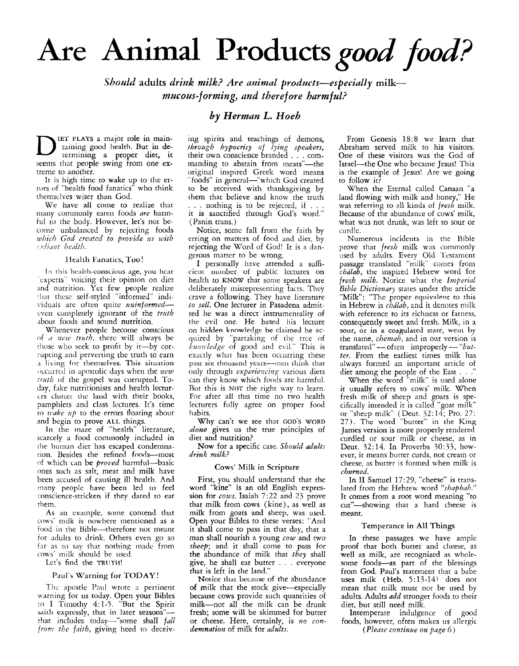# **Are** Animal **Products** *good food?*

*Should* **adults** *drink milk? Are animal products-especially* **milk***mucous-forming, and theref ore harmful?* 

## *by Herman L. Hoeh*

D **IET PLAYS a** major role in main-termining **a** proper diet, it taining good health. But in deseems that people swing from one extreme to another.

It is high time to wake up to the errors of "health food fanatics" who think rhemselves wiser than God.

We have all come to realize that many commonly eaten foods *are* harmful to the body. However, let's not become unbalanced by rejecting foods *which God credtcd to provide ns with fL/i(iut bealt/i.* 

#### Health Fanatics, Too!

In this health-conscious age, you hear 'cxperts" voicing their opinion on diet .ind nutrition. Yet few people realize that these self-styled "informed" individuals are often quite *uninformed*even completely ignorant of the truth about foods and sound nutrition.

Whenever people become conscious of *a new trnth,* there will always be those who seek to profit by it-by corrupting and perverting the truth to earn a living for themselves. This situation occurred in apostolic days when the *new truth* of the gospel was corrupted. To-<br>day, fake nutritionists and health lecturcrs clutter the land with their books, pamphlets and class lectures. It's time to *wake up* to the errors floating about and begin to prove **AIL** things.

**In** the maze of "health" literature, scarcely a food commonly included in the human diet has escaped condemnacion. Besides the refined foods-most of which can be *proved* harmful-basic ones *such* as salt, meat and milk have been accused of causing ill health. And ninny people havc **been** led to feel conscience-stricken if they dared to eat them.

**As** an example. some contend that cows' milk is nowhere mentioned as a food in the Bible-therefore not meant for adults to drink. Others even go so far as to say that nothing made from **COWS'** milk should be used.

### Let's find the TRUTH!

#### Paul's Warning for TODAY!

The apostle Paul wrote a pertinent warning for us today. Open your Bibles 10 **I** Timothy 4:l-5. "But the Spirit saith expressly, that in later seasons"that includes today--"some shall *fall*  from the faith, giving heed to deceiv-

ing spirits and teachings of demons, *throzdgh hypocrisy of lying speakers,*  their own conscience branded . . . commanding to abstain from meats"—th original inspired Greek word means "foods" in general-"which God created to be received with thanksgiving by them that believe and know the truth . . . nothing is to be rejected, if . . . it is sanctified through God's word." (Panin trans.)

Notice, some fall from the faith by erring on matters of food and diet, by rejecting the Word of God! It is a dangerous matter to be wrong.

I personally have attended a sufficient number of public lectures on health to KNOW that some speakers are deliberately misrepresenting facts. They crave a following. They have literature *to sell.* One lecturer in Pasadena admitted he was **a** direct instrumentality of the evil one. He based his lecture on hidden **knowledge** he claimed he acquired by "partaking of the tree of *hno21dedge* of good and evil." This is exactly what has been occurring these past six thousand years-mcn **tliirik** that only through *experiencing* various diets can they know which foods are harmful. But this is **NOT** the right way to learn. For after all this time no two health lecturers fully agree on proper food habits.

Why can't we see that **GOD'S WORD**  *alone* gives us the true principles of diet and nutrition?

Now for **a** specific case. *Should adults*   $drink$  *milk?* 

#### **Cows'** Milk in Scripture

First, you should understand that the word "kine" **is** an old English expression for *cows.* Isaiah 7:22 and 23 prove that milk from cows (kine), as well as milk from goats and sheep, was used. Open your Bibles to these verses: "And it shall come to pass in that day, that a man shall nourish **a** young *cow* and two *.rheep;* and it shall come to pass for the abundance of milk that *they* shall give, he shall eat butter . . . everyone that is left in the land."

Notice that because of the abundance of milk that the stock give-especially because cows provide such quantities of milk-not all the milk can be drunk fresh; some will be skimmed for butter or cheese. Here, certainly, is *wo condemnation* of milk for *adults*.

From Genesis 18:8 we learn that Abraham served milk to his visitors. One of these visitors was the God of Israel-the One who became Jesus! This is the example of Jesus! Are we going to follow it?

When the Eternal called Canaan **"a**  land flowing with milk and honey," He was referring to ail kinds of *fresh* milk. Because of the abundance of cows' milk, what was not drunk, was left to sour or curdle.

Numerous incidents in the Bible prove that *fresh* milk was commonly used by adults. Every Old 'Testament passage translated "milk" cones from *chdlab,* the inspired Hebrew word for *fresh milk.* Notice what the *Imperial Bible Dictionary* states under the article "Milk": "The proper equivalent to this in Hebrew is *chilab,* and it denotes milk with reference to its richness or fatness, consequently sweet and fresh. Milk, in a **sour,** or in **a** coagulated state, went **by**  the name, *chemah,* and in our version is sour, or in a coagulated state, went by<br>the name, *chemah*, and in our version is<br>translated "--- often improperly --- "*but-*<br>frame" --- often improperly --- "*butter.* From the earliest times milk has always formed an important article of diet among the people of the East . . ."

When the word "milk" is used alone it usually refers to cows' milk. When fresh milk of sheep and goats is specifically intended it is called "goat milk" or "sheep milk" (Deut. 32: 14; Pro. 27: 27). The word "butter" in the King James version is more properly rendered curdled or sour milk or cheese, as in Deut. *32:14.* In Proverbs *30:33,* however, it means butter curds, not cream or cheese, as butter is formed when milk is *churned.* 

In I1 Samuel 17:29, "cheese" is translated from the Hebrew word *"shaphah."*  It comes from **a** root word meaning "to cut'-showing that **a** hard cheese is meant.

#### Temperance in **All Things**

In these passages we have ample proof that both butter and cheese, as well as milk, are recognized as wholesome foods-as part of the blessings from God. Paul's statement that a babe uses milk (Heb. *5:13-14)* does not mean that milk must not be used by adults. Adults *add* stronger foods to their diet, but still need milk.

Intemperate indulgence of good foods, however, often makes us allergic *{Please contiwe on page* 6 )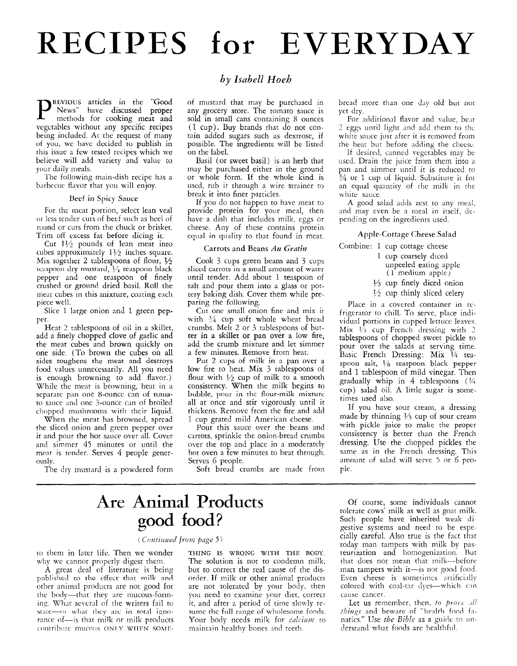# **RECIPES for EVERYDAY**

**REVIOUS** articles in the "Good News" have discussed proper methods for cooking meat and vegetables without any specific recipes being included. At the request of many of you, we havc dccided to publish in this issue a few tested recipes which we believe will add variety and value to your daily meals.

The following main-dish recipe has a barbecue flavor that you will enjoy.

#### Beef in Spicy Sauce

For the meat portion, select lean veal or less tender cuts of beef such as heel of round or cuts from the chuck or brisket. Trim off excess fat before dicing it.

Cut  $1\frac{1}{2}$  pounds of lean meat into cubes approximately  $1\frac{1}{2}$  inches square. Mix together 2 tablespoons of flour,  $\frac{1}{2}$ teaspoon dry mustard, *>A* teaspoon black pepper and one teaspoon of finely crushed or ground dried basil. Roll the meat cubes in this mixture, coating each piece well.

Slice 1 large onion and 1 green pepper.

Heat 2 tablespoons of oil in a skillet, add a finely chopped clove of garlic and the meat cubes and brown quickly on one side. (To brown the cubes on all sides toughens the meat and destroys food values unnecessarily. All you need is enough browning to add flavor.) While the meat is browning, heat in a separate pan one 8-ounce can of tomato sauce and one 3-ounce can of broiled chopped mushrooms with their liquid.

When the meat has browned, spread the sliced onion and green pepper over it and pour the hot sauce over all. Cover and simmer *45* minutes or until the meat is tender. Serves 4 people generously.

The dry mustard is a powdered form

### *by Isabel1 Hoeh*

of mustard that may be purchased in any grocery store. The tomato sauce is sold in small cans containing S ounces (1 cup). Buy brands that do not contain added sugars such as dextrose, if possible. The ingredients will be listed on the label.

Basil (or sweet basil) is an herb that may be purchased either in the ground or whole form. If the whole kind is used, rub it through a wire strainer to break it into finer particles.

If you do not happen to have meat to provide protein for your meal, then have a dish that includes milk, eggs or cheese. Any of these contains protein equal in quality to that found in meat.

#### Carrots and Beans *Au Gratin*

Cook 3 cups green beans and 3 cups sliccd carrots in **a** small amount of water until tender. Add about 1 teaspoon of salt and pour them into a glass or pottery baking dish. Cover them while preparing the following.

Cut one small onion fine and mix it with  $\frac{3}{4}$  cup soft whole wheat bread crumbs. Melt 2 or *3* tablespoons of butter in **a** skillet or pan over a low fire, add the crumb mixture and let simmer a few minutes. Remove from heat.

Put 2 cups of milk in a pan over a low fire to heat. Mix *3* tablespoons of flour with  $\frac{1}{2}$  cup of milk to a smooth consistency. When the milk begins to bubble, pour in thc flour-milk **mixture**  all at once and stir vigorously until it thickens. Remove from the fire and add 1 cup grated mild American cheese.

Pour this sauce over the beans and carrots, sprinkle the onion-bread crumbs over the top and place in a moderately hot oven a few minutes to heat through. Serves 6 people.

Soft bread crumbs are made from

# **Are** Animal Products good food?

#### (Continued from page 5)

to them in later life. Then we wonder why we cannot properly digest them.

A great deal of literature is being published to the effect that milk and other animal products are not good for the body---that they are mucous-forming. What several of the writers fail to  $x$  state--or what they are in total ignorance of-is that milk or milk products contribute mucous ONLY WHEN SOME-

THING IS WRONG WITH THE BODY The solution is not to condemn milk, but to correct the real cause of the disorder. If milk or other animal products are not tolerated by your body, then you need to examine your diet, correct it, and after a period of time slonly resume the full range of wholesome foods. Your body needs milk for *calcium* to maintain healthv bones and teeth

bread more than one day old but not yet dry.

For additional flavor and value, beat *2* eggs until light and add them to thc white sauce just after it is removed from the heat but before adding the cheese.

If desired, canned vegetables may be used. Drain the juice from them into a pan and simmer until it is reduced to  $\frac{3}{4}$  or 1 cup of liquid. Substitute it for an equal quantity of the milk in the white sauce.

A good salad adds zest to any meal, and may even be a meal in itself, depending on the ingredients used.

#### Apple-Cottage Cheese Salad

Combine: 1 cup cottage cheese

- 1 cup coarsely diced unpeeled eating apple (1 medium apple)
- $\frac{1}{3}$  cup finely diced onion
- $\frac{1}{2}$  cup thinly sliced celery

Place in a covered container in refrigerator to chill. To serve, place individual portions in cupped lettuce leaves. Mix  $V_3$  cup French dressing with 2 tablespoons of chopped sweet pickle to pour over the salads at serving time. Basic French Dressing: Mix *\$4* teaspoon salt, *\$6* teaspoon black pepper and 1 tablespoon of mild vinegar. Then gradually whip in *4* tablespoons *(M*  cup) salad oil. **A** little sugar is sometimes used also.

If you have sour cream, a dressing made by thinning *Y3* cup of sour cream with pickle juice to make the proper consistency is better than the French dressing. Use the chopped pickles the same as in the French dressing. This amount of salad will serve 3 or 6 people.

Of course, some individuals cannot tolerate cows' milk as well as goat milk. Such people have inherited weak digestive systems and need to be especially careful. Also true is the fact that today man tampers with milk by pasteurization and homogenization. Rut that does not mean that milk-before man tampers with it-is not good food. Even cheese is sometimes artificially colored with coal-tar dyes-which can cause cancer.

Let us remember, then, to prove all things and beware of "health food fanatics." Use *the Bible* as a guide to understand what foods are healthful.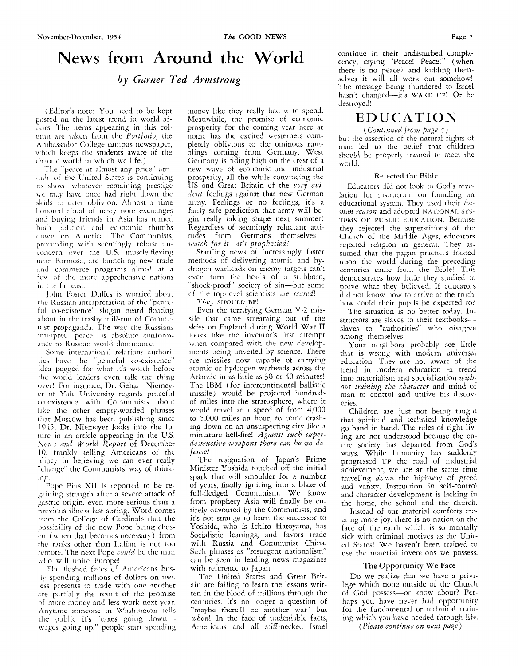# News from Around the World

by Garner Ted Armstrong

(Editor's note: You need to be kept posted on the latest trend in world affairs. The items appearing in this column are taken from the *Portfolio*, the Ambassador College campus newspaper, which keeps the students aware of the chaotic world in which we life.)

The "peace at almost any price" atti-<br>tude of the United States is continuing to shove whatever remaining prestige we may have once had right down the skids to utter oblivion. Almost a time honored ritual of nasty note exchanges and buying friends in Asia has turned both political and economic thumbs<br>down on America. The Communists, proceeding with seemingly robust unconcern over the U.S. muscle-flexing near Formosa, are launching new trade and commerce programs aimed at a few of the more apprehensive nations in the far east.

John Foster Dulles is worried about the Russian interpretation of the "peaceful co-existence" slogan heard floating about in the trashy mill-run of Communist propaganda. The way the Russians interpret "peace" is absolute conformance to Russian world dominance.

Some international relations authoritics have the "peaceful co-existence"<br>idea pegged for what it's worth before the world leaders even talk the thing over! For instance, Dr. Gehart Niemeyer of Yale University regards peaceful co-existence with Communists about like the other empty-worded phrases that Moscow has been publishing since 1945. Dr. Niemeyer looks into the future in an article appearing in the U.S.<br>News and World Report of December 10, frankly telling Americans of the idiocy in believing we can ever really "change" the Communists' way of thinking.

Pope Pius XII is reported to be regaining strength after a severe attack of gastric origin, even more serious than a previous illness last spring. Word comes<br>from the College of Cardinals that the possibility of the new Pope being chosen (when that becomes necessary) from the ranks other than Italian is not too remote. The next Pope conld be the man who will unite Europe!

The flushed faces of Americans busily spending millions of dollars on useless presents to trade with one another are partially the result of the promise of more money and less work next year. Anytime someone in Washington tells the public it's "taxes going down wages going up," people start spending money like they really had it to spend. Meanwhile, the promise of economic prosperity for the coming year here at home has the excited westerners completely oblivious to the ominous rumblings coming from Germany. West Germany is riding high on the crest of a new wave of economic and industrial prosperity, all the while convincing the US and Great Britain of the very evident feelings against that new German army. Feelings or no feelings, it's a fairly safe prediction that army will begin really taking shape next summer! Regardless of seemingly reluctant attitudes from Germans themselves--<br>watch for it-it's prophesied!

Startling news of increasingly faster methods of delivering atomic and hydrogen warheads on enemy targets can't even turn the heads of a stubborn, 'shock-proof" society of sin-but some of the top-level scientists are scared!

They  $\frac{1}{2}$  HOULD BE!

Even the terrifying German V-2 missile that came screaming out of the skies on England during World War II looks like the inventor's first attempt when compared with the new developments being unveiled by science. There are missiles now capable of carrying atomic or hydrogen warheads across the Atlantic in as little as 30 or 40 minutes! The IBM (for intercontinental ballistic missile) would be projected hundreds of miles into the stratosphere, where it would travel at a speed of from 4,000 to 5,000 miles an hour, to come crashing down on an unsuspecting city like a<br>miniature hell-fire! Against such superdestructive weapons there can be no defense!

The resignation of Japan's Prime Minister Yoshida touched off the initial spark that will smoulder for a number of years, finally igniting into a blaze of full-fledged Communism. We know from prophecy Asia will finally be entirely devoured by the Communists, and it's not strange to learn the successor to Yoshida, who is Ichiro Hatoyama, has Socialistic leanings, and favors trade with Russia and Communist China. Such phrases as "resurgent nationalism" can be seen in leading news magazines with reference to Japan.

The United States and Great Britain are failing to learn the lessons written in the blood of millions through the centuries. It's no longer a question of "maybe there'll be another war" but when! In the face of undeniable facts, Americans and all stiff-necked Israel

continue in their undisturbed complacency, crying "Peace! Peace!" (when there is no peace) and kidding themselves it will all work out somehow! The message being thundered to Israel hasn't changed-it's WAKE UP! Or be destroyed!

## EDUCATION

(Continued from page 4) but the assertion of the natural rights of man led to the belief that children should be properly trained to meet the world.

#### Rejected the Bible

Educators did not look to God's revelation for instruction on founding an educational system. They used their buman reason and adopted NATIONAL SYS-TEMS OF PUBLIC EDUCATION. Because they rejected the superstitions of the Church of the Middle Ages, educators<br>rejected religion in general. They assumed that the pagan practices foisted<br>upon the world during the preceding centuries came from the Bible! This demonstrates how little they studied to prove what they believed. If educators did not know how to arrive at the truth, how could their pupils be expected to?

The situation is no better today. Instructors are slaves to their textbooksslaves to "authorities" who disagree among themselves.

Your neighbors probably see little that is wrong with modern universal education. They are not awarc of the trend in modern education-a trend into materialism and specialization without training the character and mind of man to control and utilize his discoveries.

Children are just not being taught that spiritual and technical knowledge go hand in hand. The rules of right living are not understood because the entire society has departed from God's ways. While humanity has suddenly<br>progressed UP the road of industrial achievement, we are at the same time traveling down the highway of greed and vanity. Instruction in self-control and character development is lacking in the home, the school and the church.

Instead of our material comforts creating more joy, there is no nation on the face of the earth which is so mentally sick with criminal motives as the United States! We haven't been trained to use the material inventions we possess.

#### The Opportunity We Face

Do we realize that we have a privilege which none outside of the Church of God possess-or know about? Perhaps you have never had opportunity for the fundamental or technical training which you have needed through life.

(Please continue on next page)